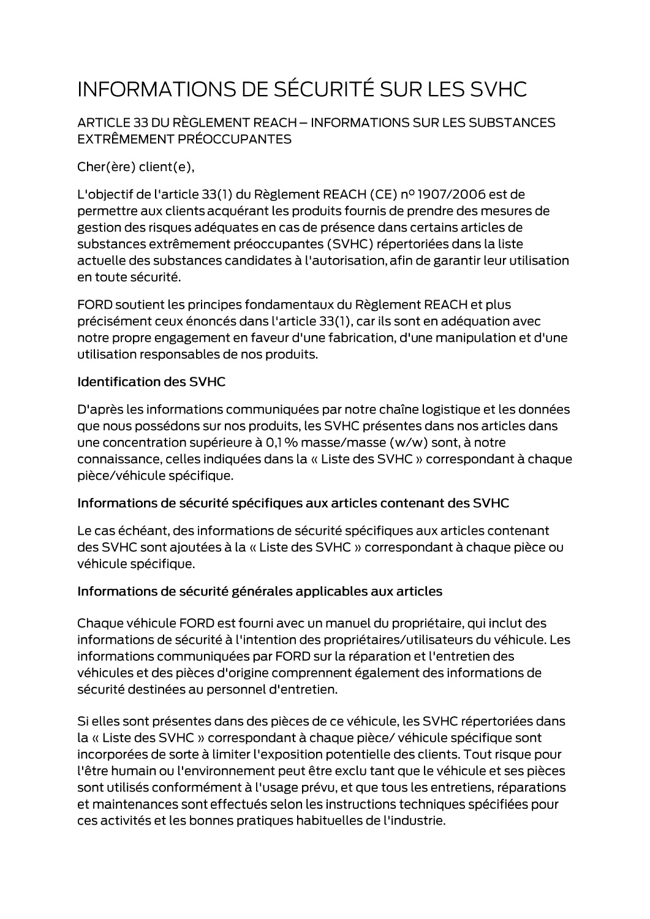# INFORMATIONS DE SÉCURITÉ SUR LES SVHC

ARTICLE 33 DU RÈGLEMENT REACH - INFORMATIONS SUR LES SUBSTANCES EXTRÊMEMENT PRÉOCCUPANTES

Cher(ère) client(e),

L'objectif de l'article 33(1) du Règlement REACH (CE) nº 1907/2006 est de permettre aux clients acquérant les produits fournis de prendre des mesures de gestion des risques adéquates en cas de présence dans certains articles de substances extrêmement préoccupantes (SVHC) répertoriées dans la liste actuelle des substances candidates à l'autorisation, afin de garantir leur utilisation en toute sécurité.

FORD soutient les principes fondamentaux du Règlement REACH et plus précisément ceux énoncés dans l'article 33(1), car ils sont en adéquation avec notre propre engagement en faveur d'une fabrication, d'une manipulation et d'une utilisation responsables de nos produits.

#### **Identification des SVHC**

D'après les informations communiquées par notre chaîne logistique et les données que nous possédons sur nos produits, les SVHC présentes dans nos articles dans une concentration supérieure à 0,1 % masse/masse (w/w) sont, à notre connaissance, celles indiquées dans la « Liste des SVHC » correspondant à chaque pièce/véhicule spécifique.

#### Informations de sécurité spécifiques aux articles contenant des SVHC

Le cas échéant, des informations de sécurité spécifiques aux articles contenant des SVHC sont ajoutées à la « Liste des SVHC » correspondant à chaque pièce ou véhicule spécifique.

#### Informations de sécurité générales applicables aux articles

Chaque véhicule FORD est fourni avec un manuel du propriétaire, qui inclut des informations de sécurité à l'intention des propriétaires/utilisateurs du véhicule. Les informations communiquées par FORD sur la réparation et l'entretien des véhicules et des pièces d'origine comprennent également des informations de sécurité destinées au personnel d'entretien.

Si elles sont présentes dans des pièces de ce véhicule, les SVHC répertoriées dans la « Liste des SVHC » correspondant à chaque pièce/ véhicule spécifique sont incorporées de sorte à limiter l'exposition potentielle des clients. Tout risque pour l'être humain ou l'environnement peut être exclu tant que le véhicule et ses pièces sont utilisés conformément à l'usage prévu, et que tous les entretiens, réparations et maintenances sont effectués selon les instructions techniques spécifiées pour ces activités et les bonnes pratiques habituelles de l'industrie.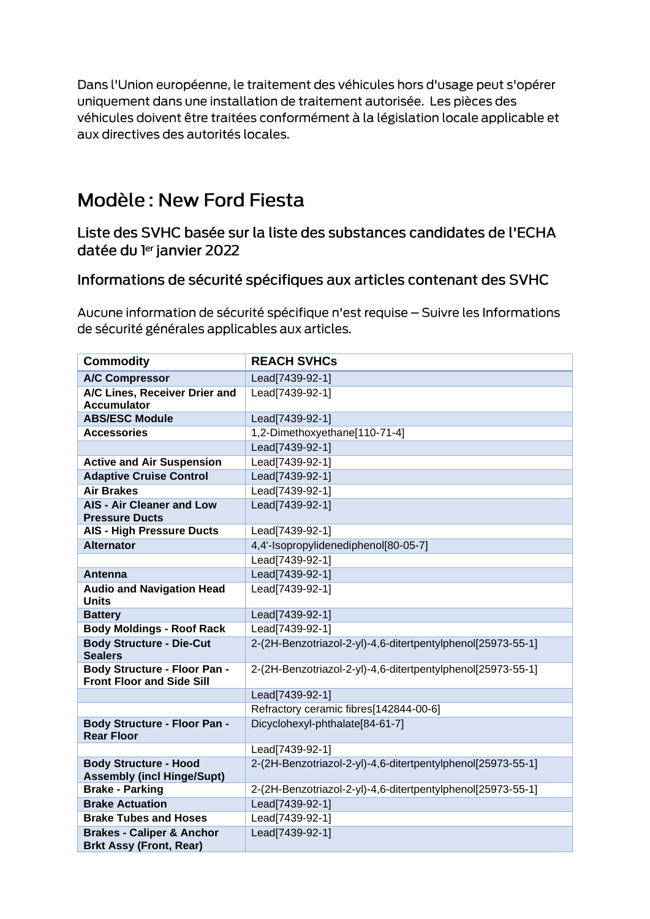Dans l'Union européenne, le traitement des véhicules hors d'usage peut s'opérer uniquement dans une installation de traitement autorisée. Les pièces des véhicules doivent être traitées conformément à la législation locale applicable et aux directives des autorités locales.

## Modèle: New Ford Fiesta

Liste des SVHC basée sur la liste des substances candidates de l'ECHA datée du ler janvier 2022

### Informations de sécurité spécifiques aux articles contenant des SVHC

Aucune information de sécurité spécifique n'est requise - Suivre les Informations de sécurité générales applicables aux articles.

| <b>Commodity</b>                                                        | <b>REACH SVHCs</b>                                          |
|-------------------------------------------------------------------------|-------------------------------------------------------------|
| <b>A/C Compressor</b>                                                   | Lead[7439-92-1]                                             |
| A/C Lines, Receiver Drier and<br><b>Accumulator</b>                     | Lead[7439-92-1]                                             |
| <b>ABS/ESC Module</b>                                                   | Lead[7439-92-1]                                             |
| <b>Accessories</b>                                                      | 1,2-Dimethoxyethane[110-71-4]                               |
|                                                                         | Lead[7439-92-1]                                             |
| <b>Active and Air Suspension</b>                                        | Lead[7439-92-1]                                             |
| <b>Adaptive Cruise Control</b>                                          | Lead[7439-92-1]                                             |
| <b>Air Brakes</b>                                                       | Lead[7439-92-1]                                             |
| <b>AIS - Air Cleaner and Low</b><br><b>Pressure Ducts</b>               | Lead[7439-92-1]                                             |
| <b>AIS - High Pressure Ducts</b>                                        | Lead[7439-92-1]                                             |
| <b>Alternator</b>                                                       | 4,4'-Isopropylidenediphenol[80-05-7]                        |
|                                                                         | Lead[7439-92-1]                                             |
| Antenna                                                                 | Lead[7439-92-1]                                             |
| <b>Audio and Navigation Head</b><br><b>Units</b>                        | Lead[7439-92-1]                                             |
| <b>Battery</b>                                                          | Lead[7439-92-1]                                             |
| <b>Body Moldings - Roof Rack</b>                                        | Lead[7439-92-1]                                             |
| <b>Body Structure - Die-Cut</b><br><b>Sealers</b>                       | 2-(2H-Benzotriazol-2-yl)-4,6-ditertpentylphenol[25973-55-1] |
| <b>Body Structure - Floor Pan -</b><br><b>Front Floor and Side Sill</b> | 2-(2H-Benzotriazol-2-yl)-4,6-ditertpentylphenol[25973-55-1] |
|                                                                         | Lead[7439-92-1]                                             |
|                                                                         | Refractory ceramic fibres[142844-00-6]                      |
| <b>Body Structure - Floor Pan -</b><br><b>Rear Floor</b>                | Dicyclohexyl-phthalate[84-61-7]                             |
|                                                                         | Lead[7439-92-1]                                             |
| <b>Body Structure - Hood</b><br><b>Assembly (incl Hinge/Supt)</b>       | 2-(2H-Benzotriazol-2-yl)-4,6-ditertpentylphenol[25973-55-1] |
| <b>Brake - Parking</b>                                                  | 2-(2H-Benzotriazol-2-yl)-4,6-ditertpentylphenol[25973-55-1] |
| <b>Brake Actuation</b>                                                  | Lead[7439-92-1]                                             |
| <b>Brake Tubes and Hoses</b>                                            | Lead[7439-92-1]                                             |
| <b>Brakes - Caliper &amp; Anchor</b><br><b>Brkt Assy (Front, Rear)</b>  | Lead[7439-92-1]                                             |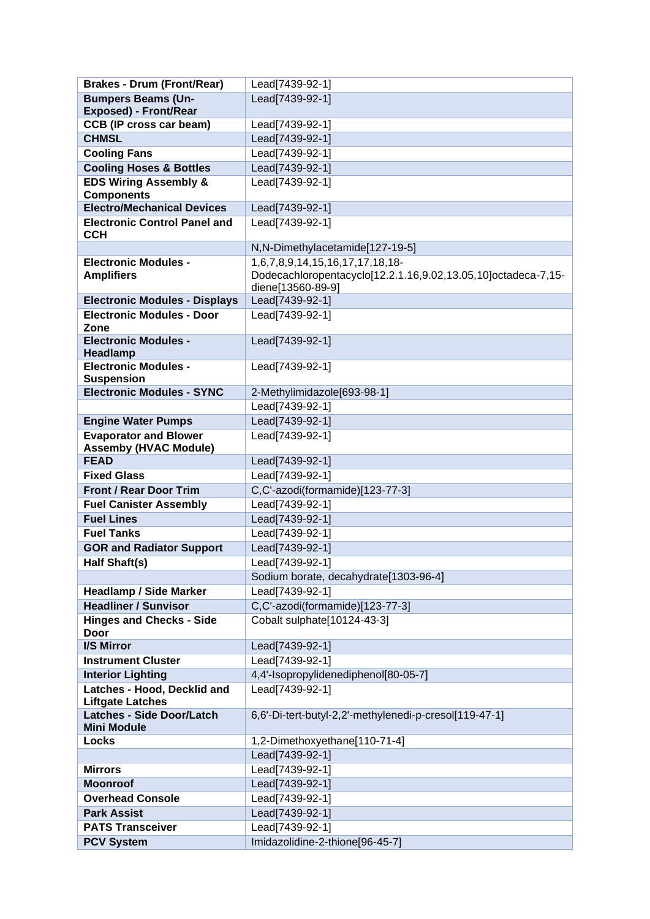| <b>Brakes - Drum (Front/Rear)</b>                            | Lead[7439-92-1]                                               |
|--------------------------------------------------------------|---------------------------------------------------------------|
| <b>Bumpers Beams (Un-</b>                                    | Lead[7439-92-1]                                               |
| <b>Exposed) - Front/Rear</b>                                 |                                                               |
| <b>CCB (IP cross car beam)</b>                               | Lead[7439-92-1]                                               |
| <b>CHMSL</b>                                                 | Lead[7439-92-1]                                               |
| <b>Cooling Fans</b>                                          | Lead[7439-92-1]                                               |
| <b>Cooling Hoses &amp; Bottles</b>                           | Lead[7439-92-1]                                               |
| <b>EDS Wiring Assembly &amp;</b>                             | Lead[7439-92-1]                                               |
| <b>Components</b>                                            |                                                               |
| <b>Electro/Mechanical Devices</b>                            | Lead[7439-92-1]                                               |
| <b>Electronic Control Panel and</b><br><b>CCH</b>            | Lead[7439-92-1]                                               |
|                                                              | N,N-Dimethylacetamide[127-19-5]                               |
| <b>Electronic Modules -</b>                                  | 1,6,7,8,9,14,15,16,17,17,18,18-                               |
| <b>Amplifiers</b>                                            | Dodecachloropentacyclo[12.2.1.16,9.02,13.05,10]octadeca-7,15- |
|                                                              | diene[13560-89-9]                                             |
| <b>Electronic Modules - Displays</b>                         | Lead[7439-92-1]                                               |
| <b>Electronic Modules - Door</b><br>Zone                     | Lead[7439-92-1]                                               |
| <b>Electronic Modules -</b><br>Headlamp                      | Lead[7439-92-1]                                               |
| <b>Electronic Modules -</b>                                  | Lead[7439-92-1]                                               |
| <b>Suspension</b>                                            |                                                               |
| <b>Electronic Modules - SYNC</b>                             | 2-Methylimidazole[693-98-1]                                   |
|                                                              | Lead[7439-92-1]                                               |
| <b>Engine Water Pumps</b>                                    | Lead[7439-92-1]                                               |
| <b>Evaporator and Blower</b><br><b>Assemby (HVAC Module)</b> | Lead[7439-92-1]                                               |
| <b>FEAD</b>                                                  | Lead[7439-92-1]                                               |
| <b>Fixed Glass</b>                                           | Lead[7439-92-1]                                               |
| <b>Front / Rear Door Trim</b>                                | C,C'-azodi(formamide)[123-77-3]                               |
| <b>Fuel Canister Assembly</b>                                | Lead[7439-92-1]                                               |
| <b>Fuel Lines</b>                                            | Lead[7439-92-1]                                               |
| <b>Fuel Tanks</b>                                            | Lead[7439-92-1]                                               |
| <b>GOR and Radiator Support</b>                              | Lead[7439-92-1]                                               |
| <b>Half Shaft(s)</b>                                         | Lead[7439-92-1]                                               |
|                                                              | Sodium borate, decahydrate[1303-96-4]                         |
| <b>Headlamp / Side Marker</b>                                | Lead[7439-92-1]                                               |
| <b>Headliner / Sunvisor</b>                                  | C,C'-azodi(formamide)[123-77-3]                               |
| <b>Hinges and Checks - Side</b><br>Door                      | Cobalt sulphate[10124-43-3]                                   |
| I/S Mirror                                                   | Lead[7439-92-1]                                               |
| <b>Instrument Cluster</b>                                    | Lead[7439-92-1]                                               |
| <b>Interior Lighting</b>                                     | 4,4'-Isopropylidenediphenol[80-05-7]                          |
| Latches - Hood, Decklid and<br><b>Liftgate Latches</b>       | Lead[7439-92-1]                                               |
| <b>Latches - Side Door/Latch</b>                             | 6,6'-Di-tert-butyl-2,2'-methylenedi-p-cresol[119-47-1]        |
| <b>Mini Module</b>                                           |                                                               |
| Locks                                                        | 1,2-Dimethoxyethane[110-71-4]                                 |
|                                                              | Lead[7439-92-1]                                               |
| <b>Mirrors</b>                                               | Lead[7439-92-1]                                               |
| <b>Moonroof</b>                                              | Lead[7439-92-1]                                               |
| <b>Overhead Console</b>                                      | Lead[7439-92-1]                                               |
| <b>Park Assist</b>                                           | Lead[7439-92-1]                                               |
| <b>PATS Transceiver</b>                                      | Lead[7439-92-1]                                               |
| <b>PCV System</b>                                            | Imidazolidine-2-thione[96-45-7]                               |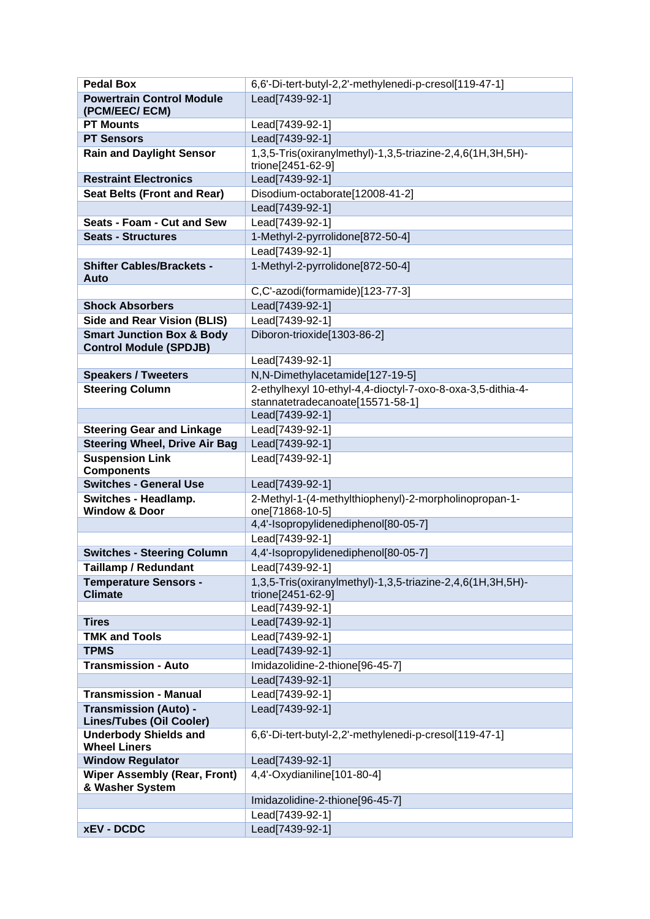| <b>Pedal Box</b>                                                      | 6,6'-Di-tert-butyl-2,2'-methylenedi-p-cresol[119-47-1]                          |
|-----------------------------------------------------------------------|---------------------------------------------------------------------------------|
| <b>Powertrain Control Module</b>                                      | Lead[7439-92-1]                                                                 |
| (PCM/EEC/ ECM)                                                        |                                                                                 |
| <b>PT Mounts</b>                                                      | Lead[7439-92-1]                                                                 |
| <b>PT Sensors</b>                                                     | Lead[7439-92-1]                                                                 |
| <b>Rain and Daylight Sensor</b>                                       | 1,3,5-Tris(oxiranylmethyl)-1,3,5-triazine-2,4,6(1H,3H,5H)-<br>trione[2451-62-9] |
| <b>Restraint Electronics</b>                                          | Lead[7439-92-1]                                                                 |
| <b>Seat Belts (Front and Rear)</b>                                    | Disodium-octaborate[12008-41-2]                                                 |
|                                                                       | Lead[7439-92-1]                                                                 |
| Seats - Foam - Cut and Sew                                            | Lead[7439-92-1]                                                                 |
| <b>Seats - Structures</b>                                             | 1-Methyl-2-pyrrolidone[872-50-4]                                                |
|                                                                       | Lead[7439-92-1]                                                                 |
| <b>Shifter Cables/Brackets -</b><br>Auto                              | 1-Methyl-2-pyrrolidone[872-50-4]                                                |
|                                                                       | C,C'-azodi(formamide)[123-77-3]                                                 |
| <b>Shock Absorbers</b>                                                | Lead[7439-92-1]                                                                 |
| <b>Side and Rear Vision (BLIS)</b>                                    | Lead[7439-92-1]                                                                 |
| <b>Smart Junction Box &amp; Body</b><br><b>Control Module (SPDJB)</b> | Diboron-trioxide[1303-86-2]                                                     |
|                                                                       | Lead[7439-92-1]                                                                 |
| <b>Speakers / Tweeters</b>                                            | N,N-Dimethylacetamide[127-19-5]                                                 |
| <b>Steering Column</b>                                                | 2-ethylhexyl 10-ethyl-4,4-dioctyl-7-oxo-8-oxa-3,5-dithia-4-                     |
|                                                                       | stannatetradecanoate[15571-58-1]                                                |
|                                                                       | Lead[7439-92-1]                                                                 |
| <b>Steering Gear and Linkage</b>                                      | Lead[7439-92-1]                                                                 |
| <b>Steering Wheel, Drive Air Bag</b>                                  | Lead[7439-92-1]                                                                 |
| <b>Suspension Link</b><br><b>Components</b>                           | Lead[7439-92-1]                                                                 |
| <b>Switches - General Use</b>                                         | Lead[7439-92-1]                                                                 |
| Switches - Headlamp.                                                  | 2-Methyl-1-(4-methylthiophenyl)-2-morpholinopropan-1-                           |
| <b>Window &amp; Door</b>                                              | one[71868-10-5]<br>4,4'-Isopropylidenediphenol[80-05-7]                         |
|                                                                       | Lead[7439-92-1]                                                                 |
| <b>Switches - Steering Column</b>                                     | 4,4'-Isopropylidenediphenol[80-05-7]                                            |
| Taillamp / Redundant                                                  | Lead[7439-92-1]                                                                 |
| <b>Temperature Sensors -</b>                                          | 1,3,5-Tris(oxiranylmethyl)-1,3,5-triazine-2,4,6(1H,3H,5H)-                      |
| <b>Climate</b>                                                        | trione[2451-62-9]                                                               |
|                                                                       | Lead[7439-92-1]                                                                 |
| <b>Tires</b>                                                          | Lead[7439-92-1]                                                                 |
| <b>TMK and Tools</b>                                                  | Lead[7439-92-1]                                                                 |
| <b>TPMS</b>                                                           | Lead[7439-92-1]                                                                 |
| <b>Transmission - Auto</b>                                            | Imidazolidine-2-thione[96-45-7]                                                 |
|                                                                       | Lead[7439-92-1]                                                                 |
| <b>Transmission - Manual</b>                                          | Lead[7439-92-1]                                                                 |
| <b>Transmission (Auto) -</b><br><b>Lines/Tubes (Oil Cooler)</b>       | Lead[7439-92-1]                                                                 |
| <b>Underbody Shields and</b><br><b>Wheel Liners</b>                   | 6,6'-Di-tert-butyl-2,2'-methylenedi-p-cresol[119-47-1]                          |
| <b>Window Regulator</b>                                               | Lead[7439-92-1]                                                                 |
| <b>Wiper Assembly (Rear, Front)</b><br>& Washer System                | 4,4'-Oxydianiline[101-80-4]                                                     |
|                                                                       | Imidazolidine-2-thione[96-45-7]                                                 |
|                                                                       | Lead[7439-92-1]                                                                 |
| <b>xEV - DCDC</b>                                                     | Lead[7439-92-1]                                                                 |